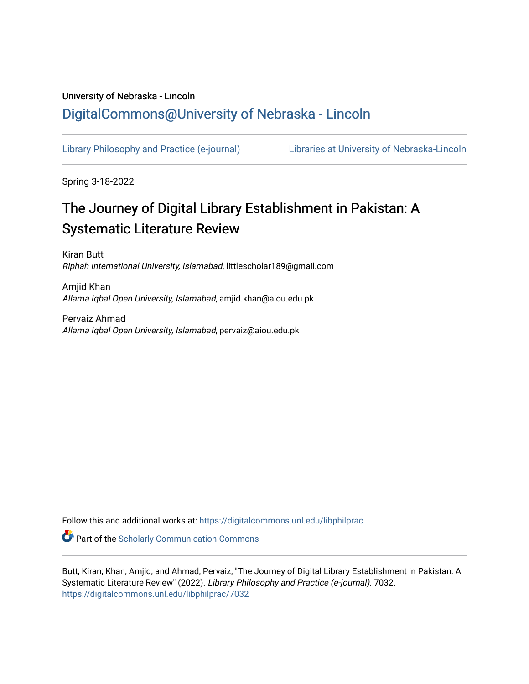# University of Nebraska - Lincoln [DigitalCommons@University of Nebraska - Lincoln](https://digitalcommons.unl.edu/)

[Library Philosophy and Practice \(e-journal\)](https://digitalcommons.unl.edu/libphilprac) [Libraries at University of Nebraska-Lincoln](https://digitalcommons.unl.edu/libraries) 

Spring 3-18-2022

# The Journey of Digital Library Establishment in Pakistan: A Systematic Literature Review

Kiran Butt Riphah International University, Islamabad, littlescholar189@gmail.com

Amjid Khan Allama Iqbal Open University, Islamabad, amjid.khan@aiou.edu.pk

Pervaiz Ahmad Allama Iqbal Open University, Islamabad, pervaiz@aiou.edu.pk

Follow this and additional works at: [https://digitalcommons.unl.edu/libphilprac](https://digitalcommons.unl.edu/libphilprac?utm_source=digitalcommons.unl.edu%2Flibphilprac%2F7032&utm_medium=PDF&utm_campaign=PDFCoverPages) 

**C** Part of the Scholarly Communication Commons

Butt, Kiran; Khan, Amjid; and Ahmad, Pervaiz, "The Journey of Digital Library Establishment in Pakistan: A Systematic Literature Review" (2022). Library Philosophy and Practice (e-journal). 7032. [https://digitalcommons.unl.edu/libphilprac/7032](https://digitalcommons.unl.edu/libphilprac/7032?utm_source=digitalcommons.unl.edu%2Flibphilprac%2F7032&utm_medium=PDF&utm_campaign=PDFCoverPages)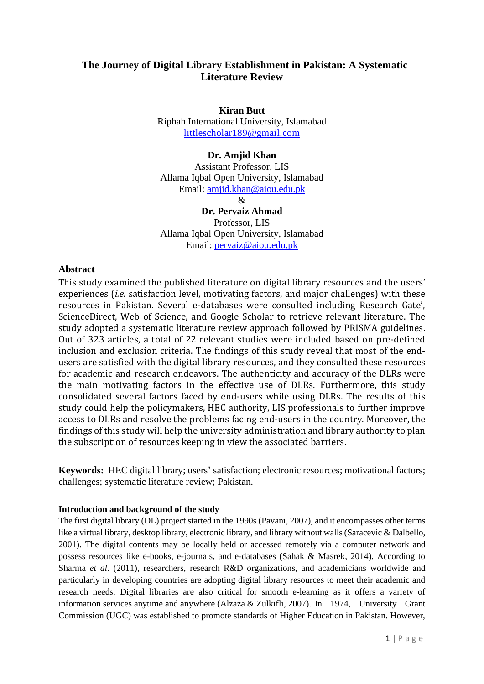# **The Journey of Digital Library Establishment in Pakistan: A Systematic Literature Review**

**Kiran Butt**

Riphah International University, Islamabad [littlescholar189@gmail.com](mailto:littlescholar189@gmail.com)

# **Dr. Amjid Khan**

Assistant Professor, LIS Allama Iqbal Open University, Islamabad Email: [amjid.khan@aiou.edu.pk](mailto:amjid.khan@aiou.edu.pk)

&

**Dr. Pervaiz Ahmad** Professor, LIS Allama Iqbal Open University, Islamabad Email: [pervaiz@aiou.edu.pk](mailto:pervaiz@aiou.edu.pk)

# **Abstract**

This study examined the published literature on digital library resources and the users' experiences (*i.e.* satisfaction level, motivating factors, and major challenges) with these resources in Pakistan. Several e-databases were consulted including Research Gate', ScienceDirect, Web of Science, and Google Scholar to retrieve relevant literature. The study adopted a systematic literature review approach followed by PRISMA guidelines. Out of 323 articles, a total of 22 relevant studies were included based on pre-defined inclusion and exclusion criteria. The findings of this study reveal that most of the endusers are satisfied with the digital library resources, and they consulted these resources for academic and research endeavors. The authenticity and accuracy of the DLRs were the main motivating factors in the effective use of DLRs. Furthermore, this study consolidated several factors faced by end-users while using DLRs. The results of this study could help the policymakers, HEC authority, LIS professionals to further improve access to DLRs and resolve the problems facing end-users in the country. Moreover, the findings of this study will help the university administration and library authority to plan the subscription of resources keeping in view the associated barriers.

**Keywords:** HEC digital library; users' satisfaction; electronic resources; motivational factors; challenges; systematic literature review; Pakistan.

# **Introduction and background of the study**

The first digital library (DL) project started in the 1990s (Pavani, 2007), and it encompasses other terms like a virtual library, desktop library, electronic library, and library without walls (Saracevic & Dalbello, 2001). The digital contents may be locally held or accessed remotely via a computer network and possess resources like e-books, e-journals, and e-databases (Sahak & Masrek, 2014). According to Sharma *et al*. (2011), researchers, research R&D organizations, and academicians worldwide and particularly in developing countries are adopting digital library resources to meet their academic and research needs. Digital libraries are also critical for smooth e-learning as it offers a variety of information services anytime and anywhere (Alzaza & Zulkifli, 2007). In 1974, University Grant Commission (UGC) was established to promote standards of Higher Education in Pakistan. However,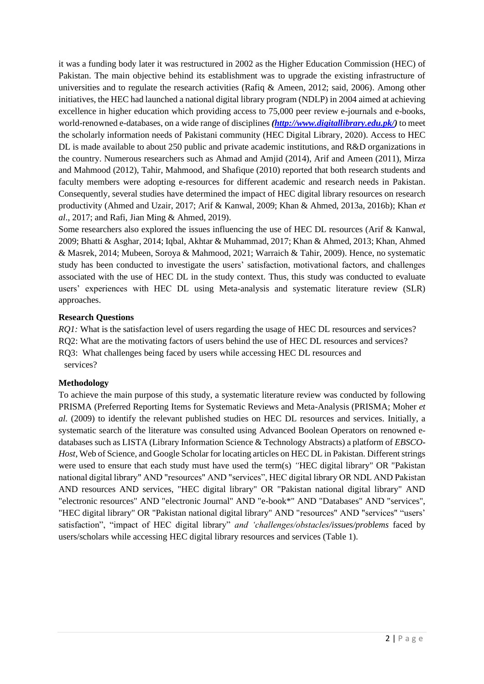it was a funding body later it was restructured in 2002 as the Higher Education Commission (HEC) of Pakistan. The main objective behind its establishment was to upgrade the existing infrastructure of universities and to regulate the research activities (Rafiq & Ameen, 2012; said, 2006). Among other initiatives, the HEC had launched a national digital library program (NDLP) in 2004 aimed at achieving excellence in higher education which providing access to 75,000 peer review e-journals and e-books, world-renowned e-databases, on a wide range of disciplines *[\(http://www.digitallibrary.edu.pk/\)](http://www.digitallibrary.edu.pk/)* to meet the scholarly information needs of Pakistani community (HEC Digital Library, 2020). Access to HEC DL is made available to about 250 public and private academic institutions, and R&D organizations in the country. Numerous researchers such as Ahmad and Amjid (2014), Arif and Ameen (2011), Mirza and Mahmood (2012), Tahir, Mahmood, and Shafique (2010) reported that both research students and faculty members were adopting e-resources for different academic and research needs in Pakistan. Consequently, several studies have determined the impact of HEC digital library resources on research productivity (Ahmed and Uzair, 2017; Arif & Kanwal, 2009; Khan & Ahmed, 2013a, 2016b); Khan *et al*., 2017; and Rafi, Jian Ming & Ahmed, 2019).

Some researchers also explored the issues influencing the use of HEC DL resources (Arif & Kanwal, 2009; Bhatti & Asghar, 2014; Iqbal, Akhtar & Muhammad, 2017; Khan & Ahmed, 2013; Khan, Ahmed & Masrek, 2014; Mubeen, Soroya & Mahmood, 2021; Warraich & Tahir, 2009). Hence, no systematic study has been conducted to investigate the users' satisfaction, motivational factors, and challenges associated with the use of HEC DL in the study context. Thus, this study was conducted to evaluate users' experiences with HEC DL using Meta-analysis and systematic literature review (SLR) approaches.

# **Research Questions**

*RQ1:* What is the satisfaction level of users regarding the usage of HEC DL resources and services? RQ2: What are the motivating factors of users behind the use of HEC DL resources and services? RQ3: What challenges being faced by users while accessing HEC DL resources and services?

# **Methodology**

To achieve the main purpose of this study, a systematic literature review was conducted by following PRISMA (Preferred Reporting Items for Systematic Reviews and Meta-Analysis (PRISMA; Moher *et al.* (2009) to identify the relevant published studies on HEC DL resources and services. Initially, a systematic search of the literature was consulted using Advanced Boolean Operators on renowned edatabases such as LISTA (Library Information Science & Technology Abstracts) a platform of *EBSCO-Host*, Web of Science, and Google Scholar for locating articles on HEC DL in Pakistan. Different strings were used to ensure that each study must have used the term(s) *"*HEC digital library" OR "Pakistan national digital library" AND "resources" AND "services", HEC digital library OR NDL AND Pakistan AND resources AND services, "HEC digital library" OR "Pakistan national digital library" AND "electronic resources" AND "electronic Journal" AND "e-book\*" AND "Databases" AND "services", "HEC digital library" OR "Pakistan national digital library" AND "resources" AND "services" "users' satisfaction", "impact of HEC digital library" *and 'challenges/obstacles/issues/problems* faced by users/scholars while accessing HEC digital library resources and services (Table 1).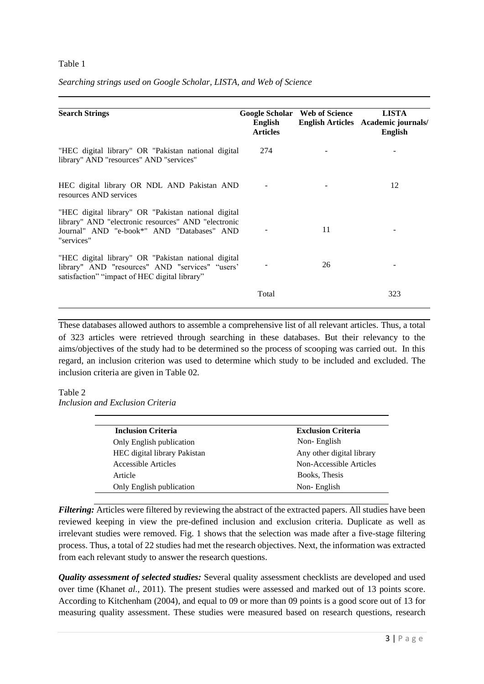#### Table 1

| <b>Search Strings</b>                                                                                                                                                  | English<br><b>Articles</b> | Google Scholar Web of Science | <b>LISTA</b><br>English Articles Academic journals/<br><b>English</b> |
|------------------------------------------------------------------------------------------------------------------------------------------------------------------------|----------------------------|-------------------------------|-----------------------------------------------------------------------|
| "HEC digital library" OR "Pakistan national digital<br>library" AND "resources" AND "services"                                                                         | 274                        |                               |                                                                       |
| HEC digital library OR NDL AND Pakistan AND<br>resources AND services                                                                                                  |                            |                               | 12                                                                    |
| "HEC digital library" OR "Pakistan national digital<br>library" AND "electronic resources" AND "electronic<br>Journal" AND "e-book*" AND "Databases" AND<br>"services" |                            | 11                            |                                                                       |
| "HEC digital library" OR "Pakistan national digital<br>library" AND "resources" AND "services" "users'<br>satisfaction" "impact of HEC digital library"                |                            | 26                            |                                                                       |
|                                                                                                                                                                        | Total                      |                               | 323                                                                   |

*Searching strings used on Google Scholar, LISTA, and Web of Science*

These databases allowed authors to assemble a comprehensive list of all relevant articles. Thus, a total of 323 articles were retrieved through searching in these databases. But their relevancy to the aims/objectives of the study had to be determined so the process of scooping was carried out. In this regard, an inclusion criterion was used to determine which study to be included and excluded. The inclusion criteria are given in Table 02.

#### Table 2

*Inclusion and Exclusion Criteria*

| <b>Inclusion Criteria</b>           | <b>Exclusion Criteria</b> |
|-------------------------------------|---------------------------|
| Only English publication            | Non-English               |
| <b>HEC</b> digital library Pakistan | Any other digital library |
| Accessible Articles                 | Non-Accessible Articles   |
| Article                             | Books, Thesis             |
| Only English publication            | Non-English               |

*Filtering:* Articles were filtered by reviewing the abstract of the extracted papers. All studies have been reviewed keeping in view the pre-defined inclusion and exclusion criteria. Duplicate as well as irrelevant studies were removed. Fig. 1 shows that the selection was made after a five-stage filtering process. Thus, a total of 22 studies had met the research objectives. Next, the information was extracted from each relevant study to answer the research questions.

*Quality assessment of selected studies:* Several quality assessment checklists are developed and used over time (Khanet *al.,* 2011). The present studies were assessed and marked out of 13 points score. According to Kitchenham (2004), and equal to 09 or more than 09 points is a good score out of 13 for measuring quality assessment. These studies were measured based on research questions, research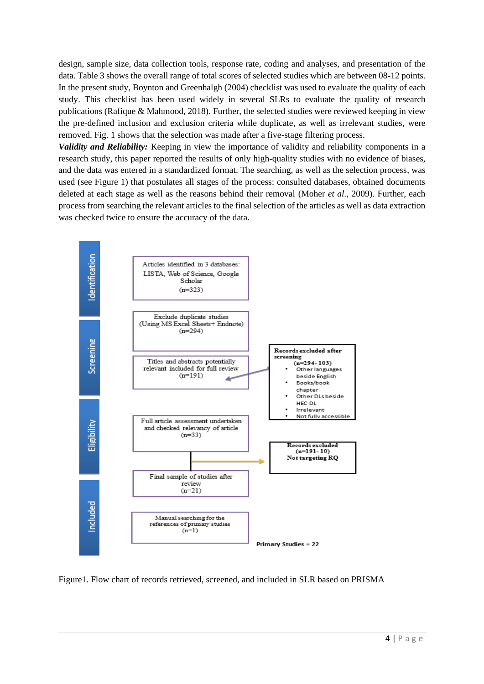design, sample size, data collection tools, response rate, coding and analyses, and presentation of the data. Table 3 shows the overall range of total scores of selected studies which are between 08-12 points. In the present study, Boynton and Greenhalgh (2004) checklist was used to evaluate the quality of each study. This checklist has been used widely in several SLRs to evaluate the quality of research publications (Rafique & Mahmood, 2018). Further, the selected studies were reviewed keeping in view the pre-defined inclusion and exclusion criteria while duplicate, as well as irrelevant studies, were removed. Fig. 1 shows that the selection was made after a five-stage filtering process.

*Validity and Reliability:* Keeping in view the importance of validity and reliability components in a research study, this paper reported the results of only high-quality studies with no evidence of biases, and the data was entered in a standardized format. The searching, as well as the selection process, was used (see Figure 1) that postulates all stages of the process: consulted databases, obtained documents deleted at each stage as well as the reasons behind their removal (Moher *et al.,* 2009). Further, each process from searching the relevant articles to the final selection of the articles as well as data extraction was checked twice to ensure the accuracy of the data.



Figure1. Flow chart of records retrieved, screened, and included in SLR based on PRISMA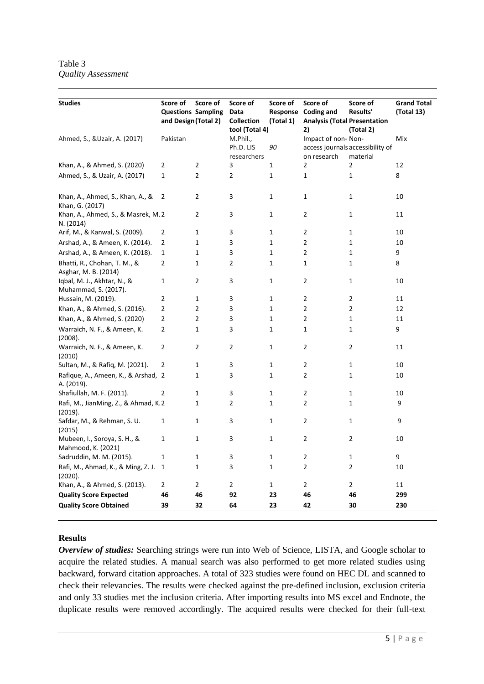Table 3 *Quality Assessment*

| <b>Studies</b>                                      | Score of<br><b>Questions Sampling</b> | Score of       | Score of<br>Data  | Score of     | Score of<br>Response Coding and     | Score of<br>Results'             | <b>Grand Total</b><br>(Total 13) |
|-----------------------------------------------------|---------------------------------------|----------------|-------------------|--------------|-------------------------------------|----------------------------------|----------------------------------|
|                                                     | and Design (Total 2)                  |                | <b>Collection</b> | (Total 1)    | <b>Analysis (Total Presentation</b> |                                  |                                  |
|                                                     |                                       |                | tool (Total 4)    |              | 2)                                  | (Total 2)                        |                                  |
| Ahmed, S., & Uzair, A. (2017)                       | Pakistan                              |                | M.Phil.,          |              | Impact of non-Non-                  |                                  | Mix                              |
|                                                     |                                       |                | Ph.D. LIS         | 90           |                                     | access journals accessibility of |                                  |
|                                                     |                                       |                | researchers       |              | on research                         | material                         |                                  |
| Khan, A., & Ahmed, S. (2020)                        | 2                                     | 2              | 3                 | 1            | $\overline{2}$                      | 2                                | 12                               |
| Ahmed, S., & Uzair, A. (2017)                       | $\mathbf{1}$                          | 2              | $\overline{2}$    | 1            | 1                                   | $\mathbf{1}$                     | 8                                |
| Khan, A., Ahmed, S., Khan, A., &<br>Khan, G. (2017) | $\overline{2}$                        | 2              | 3                 | $\mathbf{1}$ | 1                                   | 1                                | 10                               |
| Khan, A., Ahmed, S., & Masrek, M.2<br>N. (2014)     |                                       | $\overline{2}$ | 3                 | $\mathbf{1}$ | $\overline{2}$                      | $\mathbf{1}$                     | 11                               |
| Arif, M., & Kanwal, S. (2009).                      | 2                                     | 1              | 3                 | 1            | $\overline{2}$                      | 1                                | 10                               |
| Arshad, A., & Ameen, K. (2014).                     | $\overline{2}$                        | $\mathbf{1}$   | 3                 | $\mathbf 1$  | $\overline{2}$                      | $\mathbf{1}$                     | 10                               |
| Arshad, A., & Ameen, K. (2018).                     | 1                                     | $\mathbf{1}$   | 3                 | 1            | $\overline{2}$                      | $\mathbf{1}$                     | 9                                |
| Bhatti, R., Chohan, T. M., &                        | 2                                     | 1              | 2                 | 1            | 1                                   | $\mathbf{1}$                     | 8                                |
| Asghar, M. B. (2014)                                |                                       |                |                   |              |                                     |                                  |                                  |
| Iqbal, M. J., Akhtar, N., &<br>Muhammad, S. (2017). | 1                                     | $\overline{2}$ | 3                 | $\mathbf{1}$ | $\overline{2}$                      | $\mathbf{1}$                     | 10                               |
| Hussain, M. (2019).                                 | $\overline{2}$                        | $\mathbf{1}$   | 3                 | $\mathbf{1}$ | 2                                   | $\overline{2}$                   | 11                               |
| Khan, A., & Ahmed, S. (2016).                       | $\overline{2}$                        | $\overline{2}$ | 3                 | 1            | 2                                   | $\overline{2}$                   | 12                               |
| Khan, A., & Ahmed, S. (2020)                        | $\overline{2}$                        | 2              | 3                 | 1            | $\overline{2}$                      | $\mathbf{1}$                     | 11                               |
| Warraich, N. F., & Ameen, K.<br>(2008).             | $\overline{2}$                        | 1              | 3                 | 1            | $\mathbf{1}$                        | $\mathbf{1}$                     | 9                                |
| Warraich, N. F., & Ameen, K.<br>(2010)              | $\overline{2}$                        | $\overline{2}$ | 2                 | $\mathbf{1}$ | $\overline{2}$                      | $\overline{2}$                   | 11                               |
| Sultan, M., & Rafiq, M. (2021).                     | 2                                     | $\mathbf 1$    | 3                 | 1            | $\overline{2}$                      | $\mathbf{1}$                     | 10                               |
| Rafique, A., Ameen, K., & Arshad, 2<br>A. (2019).   |                                       | 1              | 3                 | 1            | $\overline{2}$                      | $\mathbf 1$                      | 10                               |
| Shafiullah, M. F. (2011).                           | 2                                     | $\mathbf 1$    | 3                 | 1            | $\overline{2}$                      | $\mathbf{1}$                     | 10                               |
| Rafi, M., JianMing, Z., & Ahmad, K.2<br>(2019).     |                                       | 1              | $\overline{2}$    | 1            | $\overline{2}$                      | $\mathbf{1}$                     | 9                                |
| Safdar, M., & Rehman, S. U.<br>(2015)               | $\mathbf 1$                           | $\mathbf{1}$   | 3                 | $\mathbf{1}$ | 2                                   | $\mathbf{1}$                     | 9                                |
| Mubeen, I., Soroya, S. H., &<br>Mahmood, K. (2021)  | $\mathbf{1}$                          | $\mathbf{1}$   | 3                 | $\mathbf{1}$ | $\overline{2}$                      | $\overline{2}$                   | 10                               |
| Sadruddin, M. M. (2015).                            | 1                                     | $\mathbf{1}$   | 3                 | 1            | 2                                   | $\mathbf{1}$                     | 9                                |
| Rafi, M., Ahmad, K., & Ming, Z. J.<br>(2020).       | 1                                     | 1              | 3                 | 1            | $\overline{2}$                      | $\overline{2}$                   | 10                               |
| Khan, A., & Ahmed, S. (2013).                       | 2                                     | $\overline{c}$ | $\overline{c}$    | 1            | 2                                   | $\overline{2}$                   | 11                               |
| <b>Quality Score Expected</b>                       | 46                                    | 46             | 92                | 23           | 46                                  | 46                               | 299                              |
| <b>Quality Score Obtained</b>                       | 39                                    | 32             | 64                | 23           | 42                                  | 30                               | 230                              |
|                                                     |                                       |                |                   |              |                                     |                                  |                                  |

#### **Results**

*Overview of studies:* Searching strings were run into Web of Science, LISTA, and Google scholar to acquire the related studies. A manual search was also performed to get more related studies using backward, forward citation approaches. A total of 323 studies were found on HEC DL and scanned to check their relevancies. The results were checked against the pre-defined inclusion, exclusion criteria and only 33 studies met the inclusion criteria. After importing results into MS excel and Endnote, the duplicate results were removed accordingly. The acquired results were checked for their full-text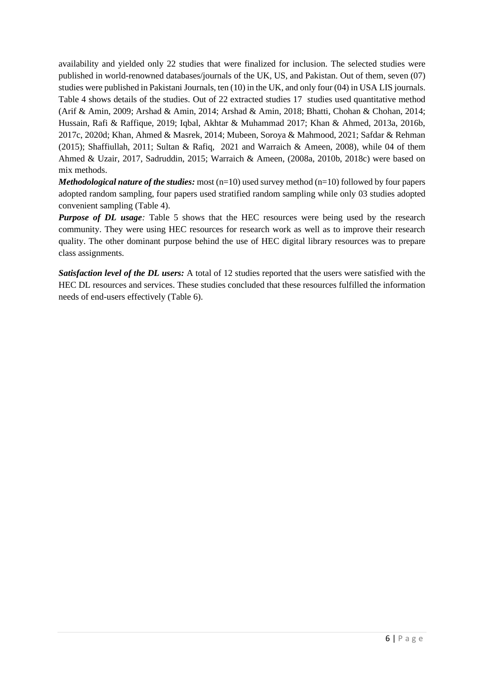availability and yielded only 22 studies that were finalized for inclusion. The selected studies were published in world-renowned databases/journals of the UK, US, and Pakistan. Out of them, seven (07) studies were published in Pakistani Journals, ten (10) in the UK, and only four (04) in USA LIS journals. Table 4 shows details of the studies. Out of 22 extracted studies 17 studies used quantitative method (Arif & Amin, 2009; Arshad & Amin, 2014; Arshad & Amin, 2018; Bhatti, Chohan & Chohan, 2014; Hussain, Rafi & Raffique, 2019; Iqbal, Akhtar & Muhammad 2017; Khan & Ahmed, 2013a, 2016b, 2017c, 2020d; Khan, Ahmed & Masrek, 2014; Mubeen, Soroya & Mahmood, 2021; Safdar & Rehman (2015); Shaffiullah, 2011; Sultan & Rafiq, 2021 and Warraich & Ameen, 2008), while 04 of them Ahmed & Uzair, 2017, Sadruddin, 2015; Warraich & Ameen, (2008a, 2010b, 2018c) were based on mix methods.

*Methodological nature of the studies:* most  $(n=10)$  used survey method  $(n=10)$  followed by four papers adopted random sampling, four papers used stratified random sampling while only 03 studies adopted convenient sampling (Table 4).

*Purpose of DL usage:* Table 5 shows that the HEC resources were being used by the research community. They were using HEC resources for research work as well as to improve their research quality. The other dominant purpose behind the use of HEC digital library resources was to prepare class assignments.

*Satisfaction level of the DL users:* A total of 12 studies reported that the users were satisfied with the HEC DL resources and services. These studies concluded that these resources fulfilled the information needs of end-users effectively (Table 6).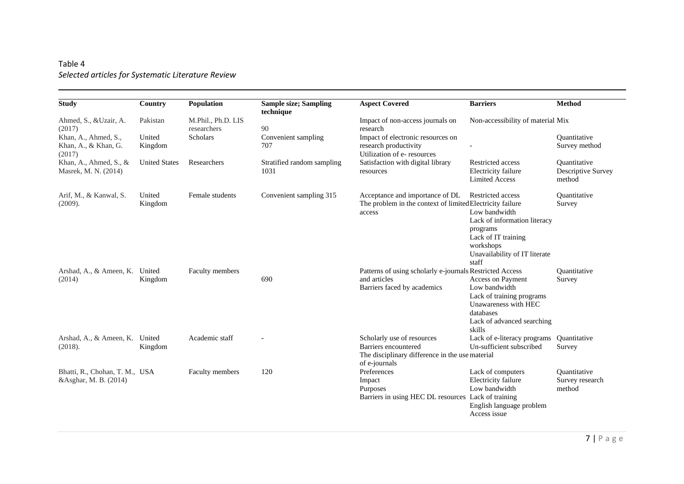# Table 4 *Selected articles for Systematic Literature Review*

| <b>Study</b>                                            | Country              | Population                        | <b>Sample size; Sampling</b><br>technique | <b>Aspect Covered</b>                                                                                                  | <b>Barriers</b>                                                                                                                                              | <b>Method</b>                                       |
|---------------------------------------------------------|----------------------|-----------------------------------|-------------------------------------------|------------------------------------------------------------------------------------------------------------------------|--------------------------------------------------------------------------------------------------------------------------------------------------------------|-----------------------------------------------------|
| Ahmed, S., &Uzair, A.<br>(2017)                         | Pakistan             | M.Phil., Ph.D. LIS<br>researchers | 90                                        | Impact of non-access journals on<br>research                                                                           | Non-accessibility of material Mix                                                                                                                            |                                                     |
| Khan, A., Ahmed, S.,<br>Khan, A., & Khan, G.<br>(2017)  | United<br>Kingdom    | Scholars                          | Convenient sampling<br>707                | Impact of electronic resources on<br>research productivity<br>Utilization of e-resources                               |                                                                                                                                                              | Ouantitative<br>Survey method                       |
| Khan, A., Ahmed, S., $\&$<br>Masrek, M. N. (2014)       | <b>United States</b> | Researchers                       | Stratified random sampling<br>1031        | Satisfaction with digital library<br>resources                                                                         | Restricted access<br>Electricity failure<br><b>Limited Access</b>                                                                                            | Ouantitative<br><b>Descriptive Survey</b><br>method |
| Arif, M., & Kanwal, S.<br>(2009).                       | United<br>Kingdom    | Female students                   | Convenient sampling 315                   | Acceptance and importance of DL<br>The problem in the context of limited Electricity failure<br>access                 | Restricted access<br>Low bandwidth<br>Lack of information literacy<br>programs<br>Lack of IT training<br>workshops<br>Unavailability of IT literate<br>staff | Quantitative<br>Survey                              |
| Arshad, A., & Ameen, K.<br>(2014)                       | United<br>Kingdom    | Faculty members                   | 690                                       | Patterns of using scholarly e-journals Restricted Access<br>and articles<br>Barriers faced by academics                | Access on Payment<br>Low bandwidth<br>Lack of training programs<br>Unawareness with HEC<br>databases<br>Lack of advanced searching<br>skills                 | Quantitative<br>Survey                              |
| Arshad, A., & Ameen, K.<br>(2018).                      | United<br>Kingdom    | Academic staff                    |                                           | Scholarly use of resources<br>Barriers encountered<br>The disciplinary difference in the use material<br>of e-journals | Lack of e-literacy programs<br>Un-sufficient subscribed                                                                                                      | Ouantitative<br>Survey                              |
| Bhatti, R., Chohan, T. M., USA<br>&Asghar, M. B. (2014) |                      | Faculty members                   | 120                                       | Preferences<br>Impact<br>Purposes<br>Barriers in using HEC DL resources Lack of training                               | Lack of computers<br>Electricity failure<br>Low bandwidth<br>English language problem<br>Access issue                                                        | Quantitative<br>Survey research<br>method           |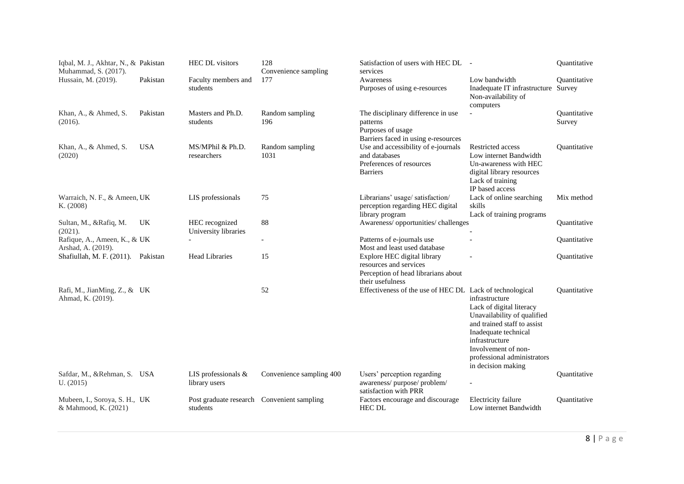| Iqbal, M. J., Akhtar, N., & Pakistan<br>Muhammad, S. (2017). |            | <b>HEC DL</b> visitors                                 | 128<br>Convenience sampling | Satisfaction of users with HEC DL -<br>services                                                                  |                                                                                                                                                                                                                                | Quantitative                  |
|--------------------------------------------------------------|------------|--------------------------------------------------------|-----------------------------|------------------------------------------------------------------------------------------------------------------|--------------------------------------------------------------------------------------------------------------------------------------------------------------------------------------------------------------------------------|-------------------------------|
| Hussain, M. (2019).                                          | Pakistan   | Faculty members and<br>students                        | 177                         | Awareness<br>Purposes of using e-resources                                                                       | Low bandwidth<br>Inadequate IT infrastructure Survey<br>Non-availability of<br>computers                                                                                                                                       | <b>Ouantitative</b>           |
| Khan, A., & Ahmed, S.<br>(2016).                             | Pakistan   | Masters and Ph.D.<br>students                          | Random sampling<br>196      | The disciplinary difference in use<br>patterns<br>Purposes of usage<br>Barriers faced in using e-resources       | $\overline{\phantom{a}}$                                                                                                                                                                                                       | <b>Ouantitative</b><br>Survey |
| Khan, A., & Ahmed, S.<br>(2020)                              | <b>USA</b> | MS/MPhil & Ph.D.<br>researchers                        | Random sampling<br>1031     | Use and accessibility of e-journals<br>and databases<br>Preferences of resources<br><b>Barriers</b>              | Restricted access<br>Low internet Bandwidth<br>Un-awareness with HEC<br>digital library resources<br>Lack of training<br>IP based access                                                                                       | <b>Ouantitative</b>           |
| Warraich, N. F., & Ameen, UK<br>K. (2008)                    |            | LIS professionals                                      | 75                          | Librarians' usage/ satisfaction/<br>perception regarding HEC digital<br>library program                          | Lack of online searching<br>skills<br>Lack of training programs                                                                                                                                                                | Mix method                    |
| Sultan, M., &Rafiq, M.<br>(2021).                            | UK         | HEC recognized<br>University libraries                 | 88                          | Awareness/opportunities/challenges                                                                               |                                                                                                                                                                                                                                | Quantitative                  |
| Rafique, A., Ameen, K., & UK<br>Arshad, A. (2019).           |            |                                                        | $\overline{a}$              | Patterns of e-journals use<br>Most and least used database                                                       |                                                                                                                                                                                                                                | Quantitative                  |
| Shafiullah, M. F. (2011). Pakistan                           |            | <b>Head Libraries</b>                                  | 15                          | Explore HEC digital library<br>resources and services<br>Perception of head librarians about<br>their usefulness |                                                                                                                                                                                                                                | Ouantitative                  |
| Rafi, M., JianMing, Z., & UK<br>Ahmad, K. (2019).            |            |                                                        | 52                          | Effectiveness of the use of HEC DL Lack of technological                                                         | infrastructure<br>Lack of digital literacy<br>Unavailability of qualified<br>and trained staff to assist<br>Inadequate technical<br>infrastructure<br>Involvement of non-<br>professional administrators<br>in decision making | <b>Ouantitative</b>           |
| Safdar, M., &Rehman, S. USA<br>U. (2015)                     |            | LIS professionals &<br>library users                   | Convenience sampling 400    | Users' perception regarding<br>awareness/purpose/problem/<br>satisfaction with PRR                               | $\overline{\phantom{a}}$                                                                                                                                                                                                       | Quantitative                  |
| Mubeen, I., Soroya, S. H., UK<br>& Mahmood, K. (2021)        |            | Post graduate research Convenient sampling<br>students |                             | Factors encourage and discourage<br><b>HEC DL</b>                                                                | Electricity failure<br>Low internet Bandwidth                                                                                                                                                                                  | <b>Quantitative</b>           |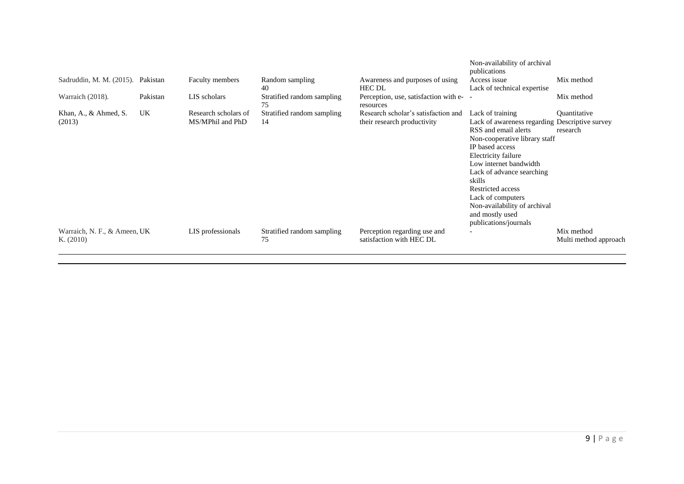| Sadruddin, M. M. (2015). Pakistan           |          | Faculty members                          | Random sampling<br>40            | Awareness and purposes of using<br><b>HEC DL</b>                   | Non-availability of archival<br>publications<br>Access issue<br>Lack of technical expertise                                                                                                                                                                                                                                                                  | Mix method                          |
|---------------------------------------------|----------|------------------------------------------|----------------------------------|--------------------------------------------------------------------|--------------------------------------------------------------------------------------------------------------------------------------------------------------------------------------------------------------------------------------------------------------------------------------------------------------------------------------------------------------|-------------------------------------|
| Warraich (2018).                            | Pakistan | LIS scholars                             | Stratified random sampling<br>75 | Perception, use, satisfaction with e-<br>resources                 |                                                                                                                                                                                                                                                                                                                                                              | Mix method                          |
| Khan, A., $&$ Ahmed, S.<br>(2013)           | UK.      | Research scholars of<br>MS/MPhil and PhD | Stratified random sampling<br>14 | Research scholar's satisfaction and<br>their research productivity | Lack of training<br>Lack of awareness regarding Descriptive survey<br>RSS and email alerts<br>Non-cooperative library staff<br>IP based access<br>Electricity failure<br>Low internet bandwidth<br>Lack of advance searching<br>skills<br>Restricted access<br>Lack of computers<br>Non-availability of archival<br>and mostly used<br>publications/journals | Quantitative<br>research            |
| Warraich, N. F., & Ameen, UK<br>K. $(2010)$ |          | LIS professionals                        | Stratified random sampling<br>75 | Perception regarding use and<br>satisfaction with HEC DL           |                                                                                                                                                                                                                                                                                                                                                              | Mix method<br>Multi method approach |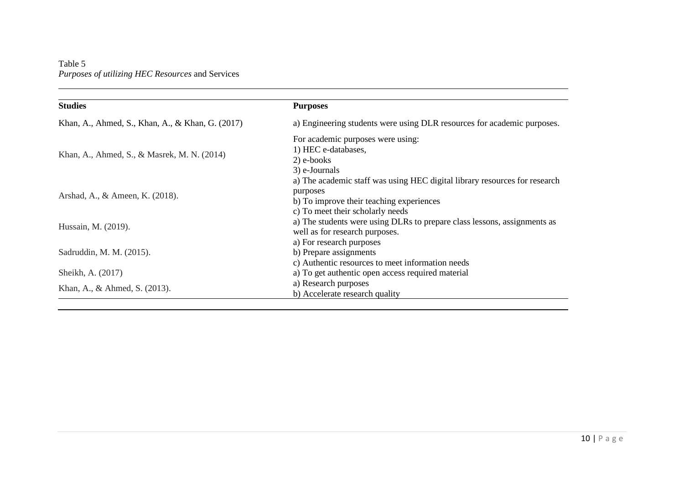Table 5 *Purposes of utilizing HEC Resources* and Services

| <b>Studies</b>                                   | <b>Purposes</b>                                                                                                                                                        |
|--------------------------------------------------|------------------------------------------------------------------------------------------------------------------------------------------------------------------------|
| Khan, A., Ahmed, S., Khan, A., & Khan, G. (2017) | a) Engineering students were using DLR resources for academic purposes.                                                                                                |
| Khan, A., Ahmed, S., & Masrek, M. N. (2014)      | For academic purposes were using:<br>1) HEC e-databases,<br>2) e-books<br>3) e-Journals                                                                                |
| Arshad, A., & Ameen, K. (2018).                  | a) The academic staff was using HEC digital library resources for research<br>purposes<br>b) To improve their teaching experiences<br>c) To meet their scholarly needs |
| Hussain, M. (2019).                              | a) The students were using DLRs to prepare class lessons, assignments as<br>well as for research purposes.                                                             |
| Sadruddin, M. M. (2015).                         | a) For research purposes<br>b) Prepare assignments<br>c) Authentic resources to meet information needs                                                                 |
| Sheikh, A. (2017)                                | a) To get authentic open access required material                                                                                                                      |
| Khan, A., & Ahmed, S. (2013).                    | a) Research purposes<br>b) Accelerate research quality                                                                                                                 |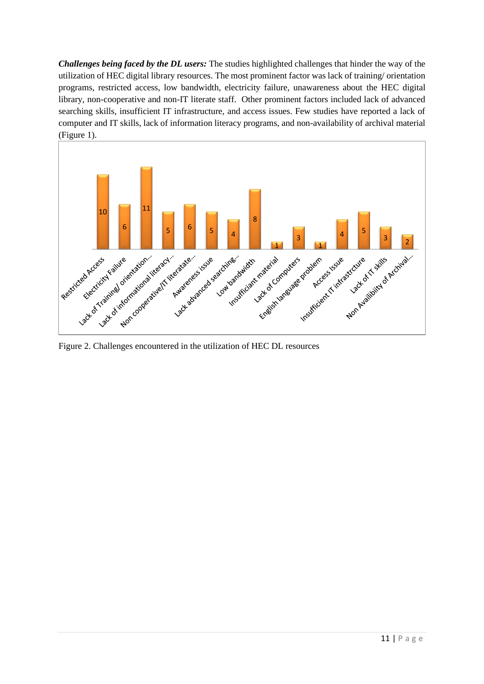*Challenges being faced by the DL users:* The studies highlighted challenges that hinder the way of the utilization of HEC digital library resources. The most prominent factor was lack of training/ orientation programs, restricted access, low bandwidth, electricity failure, unawareness about the HEC digital library, non-cooperative and non-IT literate staff. Other prominent factors included lack of advanced searching skills, insufficient IT infrastructure, and access issues. Few studies have reported a lack of computer and IT skills, lack of information literacy programs, and non-availability of archival material (Figure 1).



Figure 2. Challenges encountered in the utilization of HEC DL resources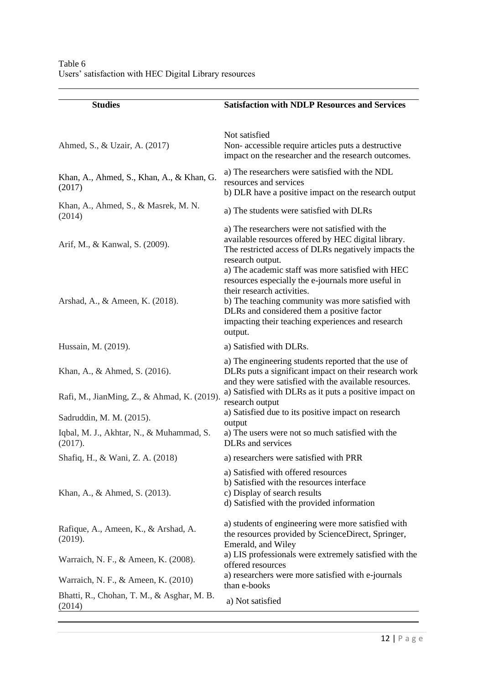| <b>Studies</b>                                                    | <b>Satisfaction with NDLP Resources and Services</b>                                                                                                                                                                                                                                                                                                                                                                                                                                          |
|-------------------------------------------------------------------|-----------------------------------------------------------------------------------------------------------------------------------------------------------------------------------------------------------------------------------------------------------------------------------------------------------------------------------------------------------------------------------------------------------------------------------------------------------------------------------------------|
| Ahmed, S., & Uzair, A. (2017)                                     | Not satisfied<br>Non-accessible require articles puts a destructive<br>impact on the researcher and the research outcomes.                                                                                                                                                                                                                                                                                                                                                                    |
| Khan, A., Ahmed, S., Khan, A., & Khan, G.<br>(2017)               | a) The researchers were satisfied with the NDL<br>resources and services<br>b) DLR have a positive impact on the research output                                                                                                                                                                                                                                                                                                                                                              |
| Khan, A., Ahmed, S., & Masrek, M. N.<br>(2014)                    | a) The students were satisfied with DLRs                                                                                                                                                                                                                                                                                                                                                                                                                                                      |
| Arif, M., & Kanwal, S. (2009).<br>Arshad, A., & Ameen, K. (2018). | a) The researchers were not satisfied with the<br>available resources offered by HEC digital library.<br>The restricted access of DLRs negatively impacts the<br>research output.<br>a) The academic staff was more satisfied with HEC<br>resources especially the e-journals more useful in<br>their research activities.<br>b) The teaching community was more satisfied with<br>DLRs and considered them a positive factor<br>impacting their teaching experiences and research<br>output. |
| Hussain, M. (2019).                                               | a) Satisfied with DLRs.                                                                                                                                                                                                                                                                                                                                                                                                                                                                       |
| Khan, A., & Ahmed, S. (2016).                                     | a) The engineering students reported that the use of<br>DLRs puts a significant impact on their research work<br>and they were satisfied with the available resources.<br>a) Satisfied with DLRs as it puts a positive impact on                                                                                                                                                                                                                                                              |
| Rafi, M., JianMing, Z., & Ahmad, K. (2019).                       | research output<br>a) Satisfied due to its positive impact on research                                                                                                                                                                                                                                                                                                                                                                                                                        |
| Sadruddin, M. M. (2015).                                          | output                                                                                                                                                                                                                                                                                                                                                                                                                                                                                        |
| Iqbal, M. J., Akhtar, N., & Muhammad, S.<br>(2017).               | a) The users were not so much satisfied with the<br>DLRs and services                                                                                                                                                                                                                                                                                                                                                                                                                         |
| Shafiq, H., & Wani, Z. A. (2018)                                  | a) researchers were satisfied with PRR                                                                                                                                                                                                                                                                                                                                                                                                                                                        |
| Khan, A., & Ahmed, S. (2013).                                     | a) Satisfied with offered resources<br>b) Satisfied with the resources interface<br>c) Display of search results<br>d) Satisfied with the provided information                                                                                                                                                                                                                                                                                                                                |
| Rafique, A., Ameen, K., & Arshad, A.<br>(2019).                   | a) students of engineering were more satisfied with<br>the resources provided by ScienceDirect, Springer,<br>Emerald, and Wiley                                                                                                                                                                                                                                                                                                                                                               |
| Warraich, N. F., & Ameen, K. (2008).                              | a) LIS professionals were extremely satisfied with the<br>offered resources                                                                                                                                                                                                                                                                                                                                                                                                                   |
| Warraich, N. F., & Ameen, K. (2010)                               | a) researchers were more satisfied with e-journals<br>than e-books                                                                                                                                                                                                                                                                                                                                                                                                                            |
| Bhatti, R., Chohan, T. M., & Asghar, M. B.<br>(2014)              | a) Not satisfied                                                                                                                                                                                                                                                                                                                                                                                                                                                                              |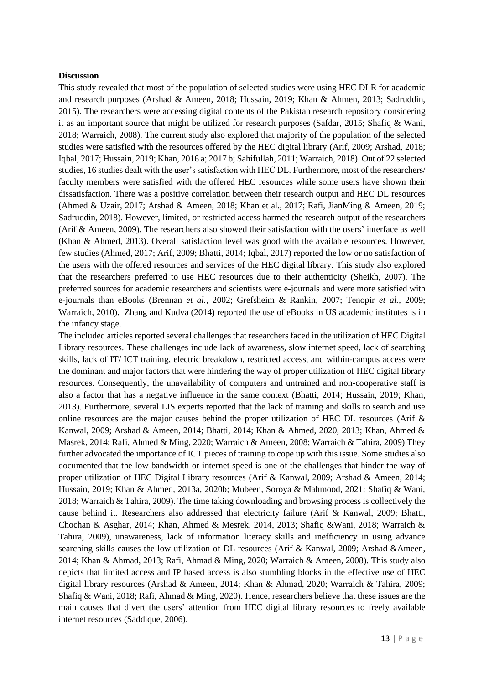#### **Discussion**

This study revealed that most of the population of selected studies were using HEC DLR for academic and research purposes (Arshad & Ameen, 2018; Hussain, 2019; Khan & Ahmen, 2013; Sadruddin, 2015). The researchers were accessing digital contents of the Pakistan research repository considering it as an important source that might be utilized for research purposes (Safdar, 2015; Shafiq & Wani, 2018; Warraich, 2008). The current study also explored that majority of the population of the selected studies were satisfied with the resources offered by the HEC digital library (Arif, 2009; Arshad, 2018; Iqbal, 2017; Hussain, 2019; Khan, 2016 a; 2017 b; Sahifullah, 2011; Warraich, 2018). Out of 22 selected studies, 16 studies dealt with the user's satisfaction with HEC DL. Furthermore, most of the researchers/ faculty members were satisfied with the offered HEC resources while some users have shown their dissatisfaction. There was a positive correlation between their research output and HEC DL resources (Ahmed & Uzair, 2017; Arshad & Ameen, 2018; Khan et al., 2017; Rafi, JianMing & Ameen, 2019; Sadruddin, 2018). However, limited, or restricted access harmed the research output of the researchers (Arif & Ameen, 2009). The researchers also showed their satisfaction with the users' interface as well (Khan & Ahmed, 2013). Overall satisfaction level was good with the available resources. However, few studies (Ahmed, 2017; Arif, 2009; Bhatti, 2014; Iqbal, 2017) reported the low or no satisfaction of the users with the offered resources and services of the HEC digital library. This study also explored that the researchers preferred to use HEC resources due to their authenticity (Sheikh, 2007). The preferred sources for academic researchers and scientists were e-journals and were more satisfied with e-journals than eBooks (Brennan *et al.,* 2002; Grefsheim & Rankin, 2007; Tenopir *et al.,* 2009; Warraich, 2010). Zhang and Kudva (2014) reported the use of eBooks in US academic institutes is in the infancy stage.

The included articles reported several challenges that researchers faced in the utilization of HEC Digital Library resources. These challenges include lack of awareness, slow internet speed, lack of searching skills, lack of IT/ ICT training, electric breakdown, restricted access, and within-campus access were the dominant and major factors that were hindering the way of proper utilization of HEC digital library resources. Consequently, the unavailability of computers and untrained and non-cooperative staff is also a factor that has a negative influence in the same context (Bhatti, 2014; Hussain, 2019; Khan, 2013). Furthermore, several LIS experts reported that the lack of training and skills to search and use online resources are the major causes behind the proper utilization of HEC DL resources (Arif  $\&$ Kanwal, 2009; Arshad & Ameen, 2014; Bhatti, 2014; Khan & Ahmed, 2020, 2013; Khan, Ahmed & Masrek, 2014; Rafi, Ahmed & Ming, 2020; Warraich & Ameen, 2008; Warraich & Tahira, 2009) They further advocated the importance of ICT pieces of training to cope up with this issue. Some studies also documented that the low bandwidth or internet speed is one of the challenges that hinder the way of proper utilization of HEC Digital Library resources (Arif & Kanwal, 2009; Arshad & Ameen, 2014; Hussain, 2019; Khan & Ahmed, 2013a, 2020b; Mubeen, Soroya & Mahmood, 2021; Shafiq & Wani, 2018; Warraich & Tahira, 2009). The time taking downloading and browsing process is collectively the cause behind it. Researchers also addressed that electricity failure (Arif & Kanwal, 2009; Bhatti, Chochan & Asghar, 2014; Khan, Ahmed & Mesrek, 2014, 2013; Shafiq &Wani, 2018; Warraich & Tahira, 2009), unawareness, lack of information literacy skills and inefficiency in using advance searching skills causes the low utilization of DL resources (Arif & Kanwal, 2009; Arshad &Ameen, 2014; Khan & Ahmad, 2013; Rafi, Ahmad & Ming, 2020; Warraich & Ameen, 2008). This study also depicts that limited access and IP based access is also stumbling blocks in the effective use of HEC digital library resources (Arshad & Ameen, 2014; Khan & Ahmad, 2020; Warraich & Tahira, 2009; Shafiq & Wani, 2018; Rafi, Ahmad & Ming, 2020). Hence, researchers believe that these issues are the main causes that divert the users' attention from HEC digital library resources to freely available internet resources (Saddique, 2006).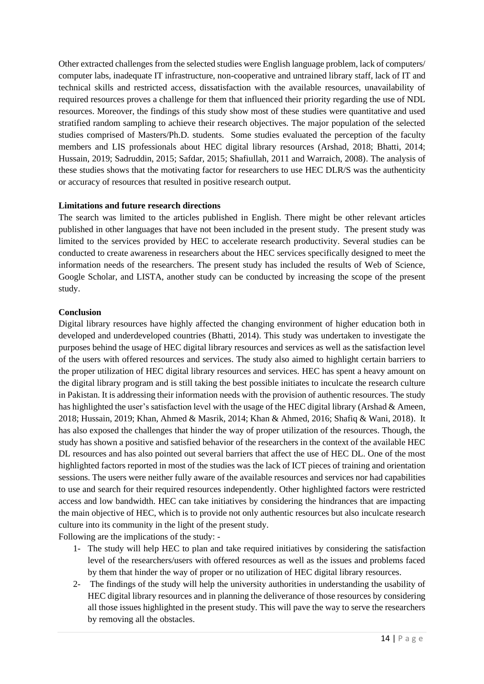Other extracted challenges from the selected studies were English language problem, lack of computers/ computer labs, inadequate IT infrastructure, non-cooperative and untrained library staff, lack of IT and technical skills and restricted access, dissatisfaction with the available resources, unavailability of required resources proves a challenge for them that influenced their priority regarding the use of NDL resources. Moreover, the findings of this study show most of these studies were quantitative and used stratified random sampling to achieve their research objectives. The major population of the selected studies comprised of Masters/Ph.D. students. Some studies evaluated the perception of the faculty members and LIS professionals about HEC digital library resources (Arshad, 2018; Bhatti, 2014; Hussain, 2019; Sadruddin, 2015; Safdar, 2015; Shafiullah, 2011 and Warraich, 2008). The analysis of these studies shows that the motivating factor for researchers to use HEC DLR/S was the authenticity or accuracy of resources that resulted in positive research output.

# **Limitations and future research directions**

The search was limited to the articles published in English. There might be other relevant articles published in other languages that have not been included in the present study. The present study was limited to the services provided by HEC to accelerate research productivity. Several studies can be conducted to create awareness in researchers about the HEC services specifically designed to meet the information needs of the researchers. The present study has included the results of Web of Science, Google Scholar, and LISTA, another study can be conducted by increasing the scope of the present study.

#### **Conclusion**

Digital library resources have highly affected the changing environment of higher education both in developed and underdeveloped countries (Bhatti, 2014). This study was undertaken to investigate the purposes behind the usage of HEC digital library resources and services as well as the satisfaction level of the users with offered resources and services. The study also aimed to highlight certain barriers to the proper utilization of HEC digital library resources and services. HEC has spent a heavy amount on the digital library program and is still taking the best possible initiates to inculcate the research culture in Pakistan. It is addressing their information needs with the provision of authentic resources. The study has highlighted the user's satisfaction level with the usage of the HEC digital library (Arshad & Ameen, 2018; Hussain, 2019; Khan, Ahmed & Masrik, 2014; Khan & Ahmed, 2016; Shafiq & Wani, 2018). It has also exposed the challenges that hinder the way of proper utilization of the resources. Though, the study has shown a positive and satisfied behavior of the researchers in the context of the available HEC DL resources and has also pointed out several barriers that affect the use of HEC DL. One of the most highlighted factors reported in most of the studies was the lack of ICT pieces of training and orientation sessions. The users were neither fully aware of the available resources and services nor had capabilities to use and search for their required resources independently. Other highlighted factors were restricted access and low bandwidth. HEC can take initiatives by considering the hindrances that are impacting the main objective of HEC, which is to provide not only authentic resources but also inculcate research culture into its community in the light of the present study. Following are the implications of the study: -

- 1- The study will help HEC to plan and take required initiatives by considering the satisfaction level of the researchers/users with offered resources as well as the issues and problems faced by them that hinder the way of proper or no utilization of HEC digital library resources.
- 2- The findings of the study will help the university authorities in understanding the usability of HEC digital library resources and in planning the deliverance of those resources by considering all those issues highlighted in the present study. This will pave the way to serve the researchers by removing all the obstacles.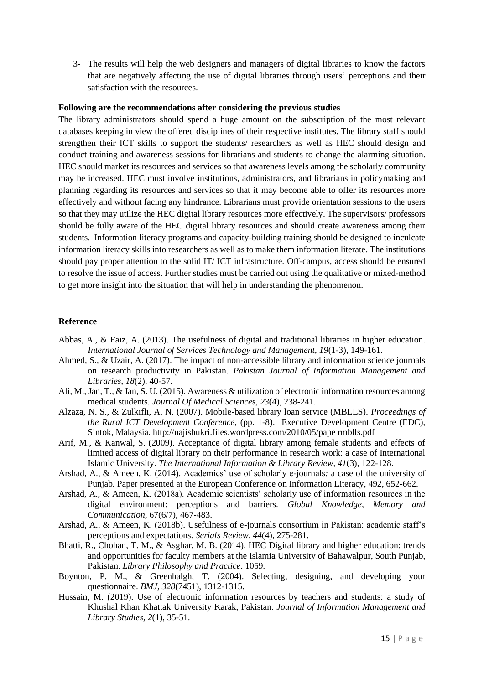3- The results will help the web designers and managers of digital libraries to know the factors that are negatively affecting the use of digital libraries through users' perceptions and their satisfaction with the resources.

#### **Following are the recommendations after considering the previous studies**

The library administrators should spend a huge amount on the subscription of the most relevant databases keeping in view the offered disciplines of their respective institutes. The library staff should strengthen their ICT skills to support the students/ researchers as well as HEC should design and conduct training and awareness sessions for librarians and students to change the alarming situation. HEC should market its resources and services so that awareness levels among the scholarly community may be increased. HEC must involve institutions, administrators, and librarians in policymaking and planning regarding its resources and services so that it may become able to offer its resources more effectively and without facing any hindrance. Librarians must provide orientation sessions to the users so that they may utilize the HEC digital library resources more effectively. The supervisors/ professors should be fully aware of the HEC digital library resources and should create awareness among their students. Information literacy programs and capacity-building training should be designed to inculcate information literacy skills into researchers as well as to make them information literate. The institutions should pay proper attention to the solid IT/ ICT infrastructure. Off-campus, access should be ensured to resolve the issue of access. Further studies must be carried out using the qualitative or mixed-method to get more insight into the situation that will help in understanding the phenomenon.

#### **Reference**

- Abbas, A., & Faiz, A. (2013). The usefulness of digital and traditional libraries in higher education. *International Journal of Services Technology and Management, 19*(1-3), 149-161.
- Ahmed, S., & Uzair, A. (2017). The impact of non-accessible library and information science journals on research productivity in Pakistan. *Pakistan Journal of Information Management and Libraries, 18*(2), 40-57.
- Ali, M., Jan, T., & Jan, S. U. (2015). Awareness & utilization of electronic information resources among medical students. *Journal Of Medical Sciences, 23*(4), 238-241.
- Alzaza, N. S., & Zulkifli, A. N. (2007). Mobile-based library loan service (MBLLS). *Proceedings of the Rural ICT Development Conference*, (pp. 1-8). Executive Development Centre (EDC), Sintok, Malaysia. http://najishukri.files.wordpress.com/2010/05/pape rmblls.pdf
- Arif, M., & Kanwal, S. (2009). Acceptance of digital library among female students and effects of limited access of digital library on their performance in research work: a case of International Islamic University. *The International Information & Library Review, 41*(3), 122-128.
- Arshad, A., & Ameen, K. (2014). Academics' use of scholarly e-journals*:* a case of the university of Punjab*.* Paper presented at the European Conference on Information Literacy, 492, 652-662.
- Arshad, A., & Ameen, K. (2018a). Academic scientists' scholarly use of information resources in the digital environment: perceptions and barriers. *Global Knowledge, Memory and Communication*, 67(6/7), 467-483.
- Arshad, A., & Ameen, K. (2018b). Usefulness of e-journals consortium in Pakistan: academic staff's perceptions and expectations. *Serials Review, 44*(4), 275-281.
- Bhatti, R., Chohan, T. M., & Asghar, M. B. (2014). HEC Digital library and higher education: trends and opportunities for faculty members at the Islamia University of Bahawalpur, South Punjab, Pakistan. *Library Philosophy and Practice*. 1059.
- Boynton, P. M., & Greenhalgh, T. (2004). Selecting, designing, and developing your questionnaire. *BMJ, 328*(7451), 1312-1315.
- Hussain, M. (2019). Use of electronic information resources by teachers and students: a study of Khushal Khan Khattak University Karak, Pakistan. *Journal of Information Management and Library Studies, 2*(1), 35-51.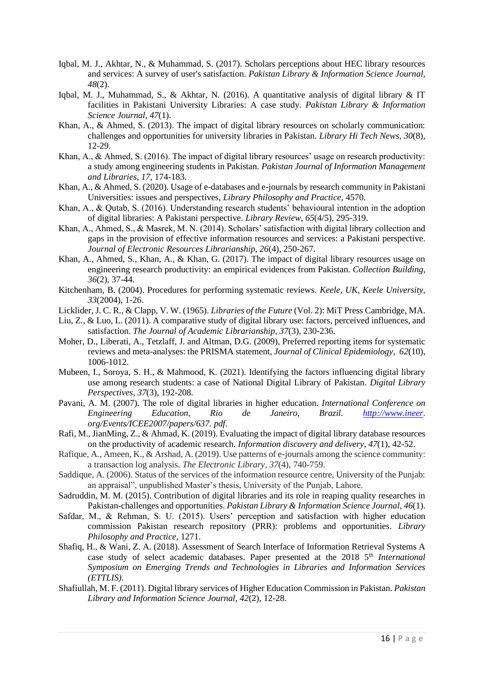- Iqbal, M. J., Akhtar, N., & Muhammad, S. (2017). Scholars perceptions about HEC library resources and services: A survey of user's satisfaction. *Pakistan Library & Information Science Journal, 48*(2).
- Iqbal, M. J., Muhammad, S., & Akhtar, N. (2016). A quantitative analysis of digital library & IT facilities in Pakistani University Libraries: A case study. *Pakistan Library & Information Science Journal, 47*(1).
- Khan, A., & Ahmed, S. (2013). The impact of digital library resources on scholarly communication: challenges and opportunities for university libraries in Pakistan. *Library Hi Tech News*, *30*(8), 12-29.
- Khan, A., & Ahmed, S. (2016). The impact of digital library resources' usage on research productivity: a study among engineering students in Pakistan. *Pakistan Journal of Information Management and Libraries, 17*, 174-183.
- Khan, A., & Ahmed, S. (2020). Usage of e-databases and e-journals by research community in Pakistani Universities: issues and perspectives, *Library Philosophy and Practice*, 4570.
- Khan, A., & Qutab, S. (2016). Understanding research students' behavioural intention in the adoption of digital libraries: A Pakistani perspective. *Library Review*, *65*(4/5), 295-319.
- Khan, A., Ahmed, S., & Masrek, M. N. (2014). Scholars' satisfaction with digital library collection and gaps in the provision of effective information resources and services: a Pakistani perspective. *Journal of Electronic Resources Librarianship, 26*(4), 250-267.
- Khan, A., Ahmed, S., Khan, A., & Khan, G. (2017). The impact of digital library resources usage on engineering research productivity: an empirical evidences from Pakistan. *Collection Building*, *36*(2), 37-44.
- Kitchenham, B. (2004). Procedures for performing systematic reviews. *Keele, UK, Keele University, 33*(2004), 1-26.
- Licklider, J. C. R., & Clapp, V. W. (1965). *Libraries of the Future* (Vol. 2): MiT Press Cambridge, MA.
- Liu, Z., & Luo, L. (2011). A comparative study of digital library use: factors, perceived influences, and satisfaction. *The Journal of Academic Librarianship, 37*(3), 230-236.
- Moher, D., Liberati, A., Tetzlaff, J. and Altman, D.G. (2009), Preferred reporting items for systematic reviews and meta-analyses: the PRISMA statement, *Journal of Clinical Epidemiology*, *62*(10), 1006-1012.
- Mubeen, I., Soroya, S. H., & Mahmood, K. (2021). Identifying the factors influencing digital library use among research students: a case of National Digital Library of Pakistan. *Digital Library Perspectives*, *37*(3), 192-208.
- Pavani, A. M. (2007). The role of digital libraries in higher education. *International Conference on Engineering Education, Rio de Janeiro, Brazil. [http://www.ineer.](http://www.ineer/) org/Events/ICEE2007/papers/637. pdf.*
- Rafi, M., JianMing, Z., & Ahmad, K. (2019). Evaluating the impact of digital library database resources on the productivity of academic research. *Information discovery and delivery*, *47*(1), 42-52.
- Rafique, A., Ameen, K., & Arshad, A. (2019). Use patterns of e-journals among the science community: a transaction log analysis. *The Electronic Library*, *37*(4), 740-759.
- Saddique, A. (2006). Status of the services of the information resource centre, University of the Punjab: an appraisal", unpublished Master's thesis, University of the Punjab, Lahore.
- Sadruddin, M. M. (2015). Contribution of digital libraries and its role in reaping quality researches in Pakistan-challenges and opportunities. *Pakistan Library & Information Science Journal, 46*(1).
- Safdar, M., & Rehman, S. U. (2015). Users' perception and satisfaction with higher education commission Pakistan research repository (PRR): problems and opportunities. *Library Philosophy and Practice,* 1271.
- Shafiq, H., & Wani, Z. A. (2018). Assessment of Search Interface of Information Retrieval Systems A case study of select academic databases. Paper presented at the 2018 5<sup>th</sup> International *Symposium on Emerging Trends and Technologies in Libraries and Information Services (ETTLIS).*
- Shafiullah, M. F. (2011). Digital library services of Higher Education Commission in Pakistan. *Pakistan Library and Information Science Journal, 42*(2), 12-28.